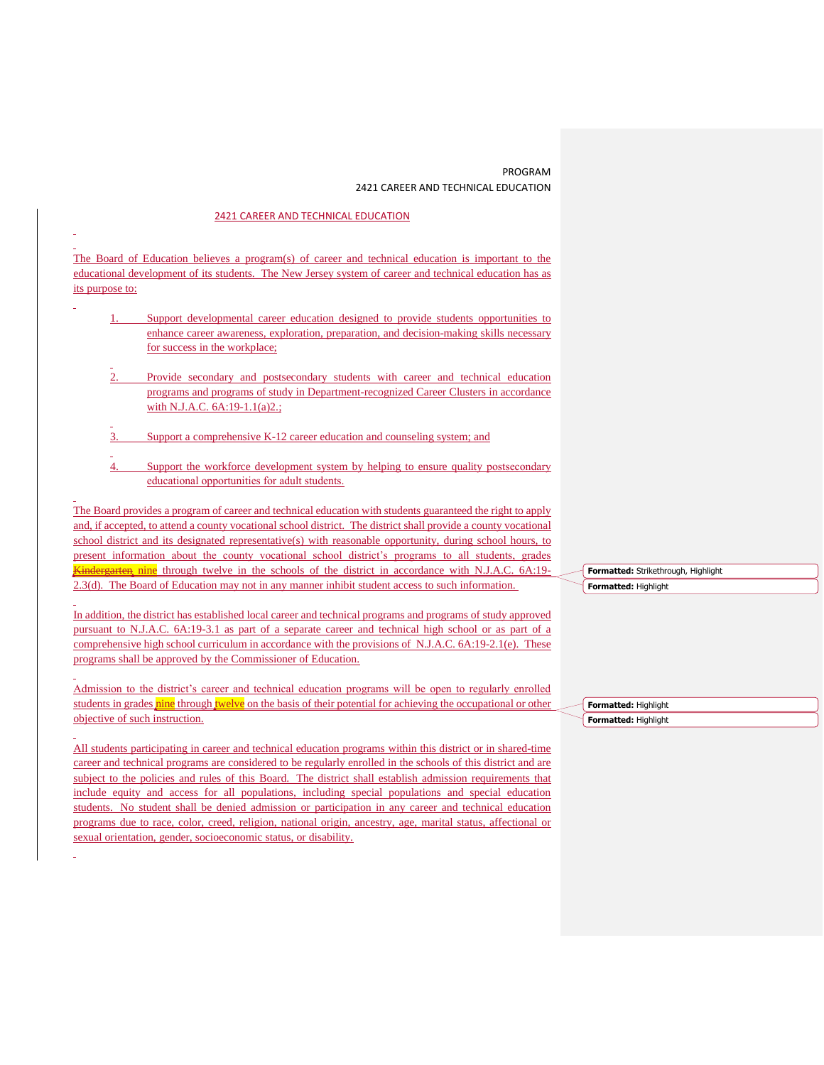## PROGRAM 2421 CAREER AND TECHNICAL EDUCATION

## 2421 CAREER AND TECHNICAL EDUCATION

The Board of Education believes a program(s) of career and technical education is important to the educational development of its students. The New Jersey system of career and technical education has as its purpose to:

- Support developmental career education designed to provide students opportunities to enhance career awareness, exploration, preparation, and decision-making skills necessary for success in the workplace;
- Provide secondary and postsecondary students with career and technical education programs and programs of study in Department-recognized Career Clusters in accordance with N.J.A.C. 6A:19-1.1(a)2.;
- Support a comprehensive K-12 career education and counseling system; and
- 4. Support the workforce development system by helping to ensure quality postsecondary educational opportunities for adult students.

The Board provides a program of career and technical education with students guaranteed the right to apply and, if accepted, to attend a county vocational school district. The district shall provide a county vocational school district and its designated representative(s) with reasonable opportunity, during school hours, to present information about the county vocational school district's programs to all students, grades **Kindergarten nine** through twelve in the schools of the district in accordance with N.J.A.C. 6A:19-2.3(d). The Board of Education may not in any manner inhibit student access to such information.

In addition, the district has established local career and technical programs and programs of study approved pursuant to N.J.A.C. 6A:19-3.1 as part of a separate career and technical high school or as part of a comprehensive high school curriculum in accordance with the provisions of N.J.A.C. 6A:19-2.1(e). These programs shall be approved by the Commissioner of Education.

Admission to the district's career and technical education programs will be open to regularly enrolled students in grades nine through twelve on the basis of their potential for achieving the occupational or other objective of such instruction.

All students participating in career and technical education programs within this district or in shared-time career and technical programs are considered to be regularly enrolled in the schools of this district and are subject to the policies and rules of this Board. The district shall establish admission requirements that include equity and access for all populations, including special populations and special education students. No student shall be denied admission or participation in any career and technical education programs due to race, color, creed, religion, national origin, ancestry, age, marital status, affectional or sexual orientation, gender, socioeconomic status, or disability.

|                      | Formatted: Strikethrough, Highlight |
|----------------------|-------------------------------------|
| Formatted: Highlight |                                     |

**Formatted:** Highlight **Formatted:** Highlight